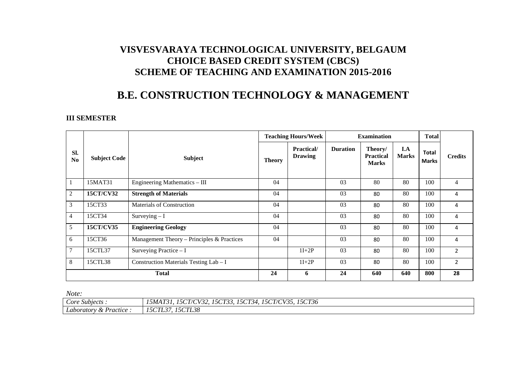## **VISVESVARAYA TECHNOLOGICAL UNIVERSITY, BELGAUM CHOICE BASED CREDIT SYSTEM (CBCS) SCHEME OF TEACHING AND EXAMINATION 2015-2016**

## **B.E. CONSTRUCTION TECHNOLOGY & MANAGEMENT**

## **III SEMESTER**

|                |                     |                                            | <b>Teaching Hours/Week</b> |                                      | <b>Examination</b> |                                             |                     | <b>Total</b>          |                |
|----------------|---------------------|--------------------------------------------|----------------------------|--------------------------------------|--------------------|---------------------------------------------|---------------------|-----------------------|----------------|
| Sl.<br>No      | <b>Subject Code</b> | <b>Subject</b>                             | <b>Theory</b>              | <b>Practical</b> /<br><b>Drawing</b> | <b>Duration</b>    | Theory/<br><b>Practical</b><br><b>Marks</b> | I.A<br><b>Marks</b> | Total<br><b>Marks</b> | <b>Credits</b> |
| $\mathbf{1}$   | 15MAT31             | Engineering Mathematics - III              | 04                         |                                      | 03                 | 80                                          | 80                  | 100                   | 4              |
| 2              | 15CT/CV32           | <b>Strength of Materials</b>               | 04                         |                                      | 03                 | 80                                          | 80                  | 100                   | 4              |
| $\mathfrak{Z}$ | 15CT33              | Materials of Construction                  | 04                         |                                      | 03                 | 80                                          | 80                  | 100                   | 4              |
| $\overline{4}$ | 15CT34              | Surveying $-I$                             | 04                         |                                      | 03                 | 80                                          | 80                  | 100                   | 4              |
| 5              | 15CT/CV35           | <b>Engineering Geology</b>                 | 04                         |                                      | 03                 | 80                                          | 80                  | 100                   | 4              |
| 6              | 15CT36              | Management Theory – Principles & Practices | 04                         |                                      | 03                 | 80                                          | 80                  | 100                   | 4              |
| $\tau$         | 15CTL37             | Surveying Practice $-I$                    |                            | $1I+2P$                              | 03                 | 80                                          | 80                  | 100                   | $\overline{2}$ |
| 8              | 15CTL38             | Construction Materials Testing Lab - I     |                            | $1I+2P$                              | 03                 | 80                                          | 80                  | 100                   | $\overline{2}$ |
| <b>Total</b>   |                     |                                            | 24                         | 6                                    | 24                 | 640                                         | 640                 | 800                   | 28             |

*Note:* 

| Core Subjects.                     | <i>15CT36</i><br>15CT/CV35<br>$I$ = $\alpha$ $\pi$ $\alpha$<br>$1.5\sigma$<br>101772<br>$\sim$ $\sim$ $\sim$ $\sim$ $\sim$ $\sim$ $\sim$ $\sim$<br>$\overline{a}$<br>'' $C$ l $\prime$ c'l $\cdot$<br>15CT3<br>'34<br>$\sqrt{2}$<br>$\mathbf{r}$<br>$\mathcal{L}$<br><i><b>DMA15</b></i><br>, , , , , ,<br>- JUIJJ.<br>$\sim$ |
|------------------------------------|-------------------------------------------------------------------------------------------------------------------------------------------------------------------------------------------------------------------------------------------------------------------------------------------------------------------------------|
| Laboratory<br>Practice<br>$\alpha$ | <i>15CTL38</i><br><i>15CTL</i><br>$\sim$                                                                                                                                                                                                                                                                                      |